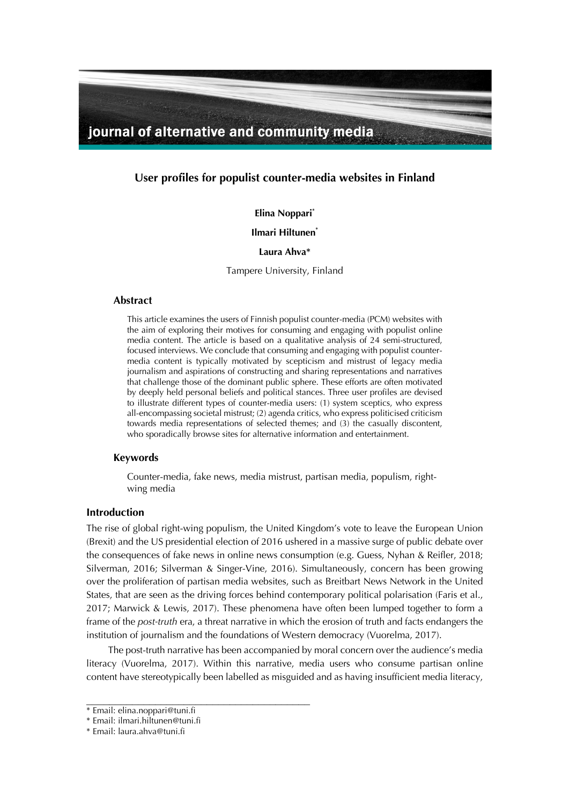

**User profiles for populist counter-media websites in Finland**

**Elina Noppari\***

**Ilmari Hiltunen\***

### **Laura Ahva\***

Tampere University, Finland

### **Abstract**

This article examines the users of Finnish populist counter-media (PCM) websites with the aim of exploring their motives for consuming and engaging with populist online media content. The article is based on a qualitative analysis of 24 semi-structured, focused interviews. We conclude that consuming and engaging with populist countermedia content is typically motivated by scepticism and mistrust of legacy media journalism and aspirations of constructing and sharing representations and narratives that challenge those of the dominant public sphere. These efforts are often motivated by deeply held personal beliefs and political stances. Three user profiles are devised to illustrate different types of counter-media users: (1) system sceptics, who express all-encompassing societal mistrust; (2) agenda critics, who express politicised criticism towards media representations of selected themes; and (3) the casually discontent, who sporadically browse sites for alternative information and entertainment.

# **Keywords**

Counter-media, fake news, media mistrust, partisan media, populism, rightwing media

### **Introduction**

The rise of global right-wing populism, the United Kingdom's vote to leave the European Union (Brexit) and the US presidential election of 2016 ushered in a massive surge of public debate over the consequences of fake news in online news consumption (e.g. Guess, Nyhan & Reifler, 2018; Silverman, 2016; Silverman & Singer-Vine, 2016). Simultaneously, concern has been growing over the proliferation of partisan media websites, such as Breitbart News Network in the United States, that are seen as the driving forces behind contemporary political polarisation (Faris et al., 2017; Marwick & Lewis, 2017). These phenomena have often been lumped together to form a frame of the *post-truth* era, a threat narrative in which the erosion of truth and facts endangers the institution of journalism and the foundations of Western democracy (Vuorelma, 2017).

The post-truth narrative has been accompanied by moral concern over the audience's media literacy (Vuorelma, 2017). Within this narrative, media users who consume partisan online content have stereotypically been labelled as misguided and as having insufficient media literacy,

<sup>\*</sup> Email: elina.noppari@tuni.fi

<sup>\*</sup> Email: ilmari.hiltunen@tuni.fi

<sup>\*</sup> Email: laura.ahva@tuni.fi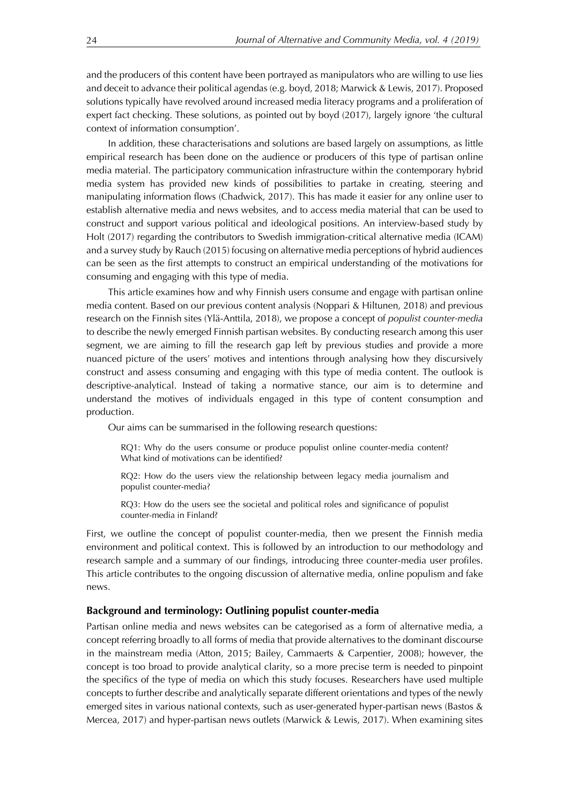and the producers of this content have been portrayed as manipulators who are willing to use lies and deceit to advance their political agendas (e.g. boyd, 2018; Marwick & Lewis, 2017). Proposed solutions typically have revolved around increased media literacy programs and a proliferation of expert fact checking. These solutions, as pointed out by boyd (2017), largely ignore 'the cultural context of information consumption'.

In addition, these characterisations and solutions are based largely on assumptions, as little empirical research has been done on the audience or producers of this type of partisan online media material. The participatory communication infrastructure within the contemporary hybrid media system has provided new kinds of possibilities to partake in creating, steering and manipulating information flows (Chadwick, 2017). This has made it easier for any online user to establish alternative media and news websites, and to access media material that can be used to construct and support various political and ideological positions. An interview-based study by Holt (2017) regarding the contributors to Swedish immigration-critical alternative media (ICAM) and a survey study by Rauch (2015) focusing on alternative media perceptions of hybrid audiences can be seen as the first attempts to construct an empirical understanding of the motivations for consuming and engaging with this type of media.

This article examines how and why Finnish users consume and engage with partisan online media content. Based on our previous content analysis (Noppari & Hiltunen, 2018) and previous research on the Finnish sites (Ylä-Anttila, 2018), we propose a concept of *populist counter-media* to describe the newly emerged Finnish partisan websites. By conducting research among this user segment, we are aiming to fill the research gap left by previous studies and provide a more nuanced picture of the users' motives and intentions through analysing how they discursively construct and assess consuming and engaging with this type of media content. The outlook is descriptive-analytical. Instead of taking a normative stance, our aim is to determine and understand the motives of individuals engaged in this type of content consumption and production.

Our aims can be summarised in the following research questions:

RQ1: Why do the users consume or produce populist online counter-media content? What kind of motivations can be identified?

RQ2: How do the users view the relationship between legacy media journalism and populist counter-media?

RQ3: How do the users see the societal and political roles and significance of populist counter-media in Finland?

First, we outline the concept of populist counter-media, then we present the Finnish media environment and political context. This is followed by an introduction to our methodology and research sample and a summary of our findings, introducing three counter-media user profiles. This article contributes to the ongoing discussion of alternative media, online populism and fake news.

#### **Background and terminology: Outlining populist counter-media**

Partisan online media and news websites can be categorised as a form of alternative media, a concept referring broadly to all forms of media that provide alternatives to the dominant discourse in the mainstream media (Atton, 2015; Bailey, Cammaerts & Carpentier, 2008); however, the concept is too broad to provide analytical clarity, so a more precise term is needed to pinpoint the specifics of the type of media on which this study focuses. Researchers have used multiple concepts to further describe and analytically separate different orientations and types of the newly emerged sites in various national contexts, such as user-generated hyper-partisan news (Bastos & Mercea, 2017) and hyper-partisan news outlets (Marwick & Lewis, 2017). When examining sites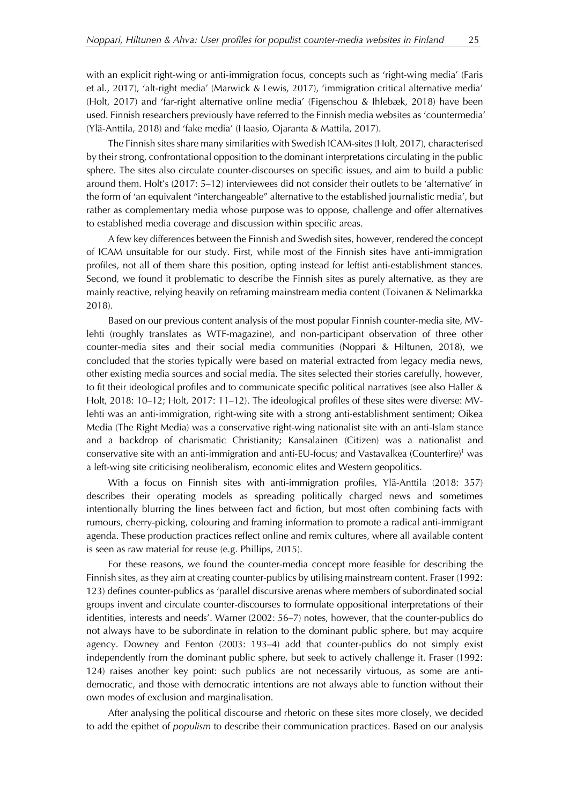with an explicit right-wing or anti-immigration focus, concepts such as 'right-wing media' (Faris et al., 2017), 'alt-right media' (Marwick & Lewis, 2017), 'immigration critical alternative media' (Holt, 2017) and 'far-right alternative online media' (Figenschou & Ihlebæk, 2018) have been used. Finnish researchers previously have referred to the Finnish media websites as 'countermedia' (Ylä-Anttila, 2018) and 'fake media' (Haasio, Ojaranta & Mattila, 2017).

The Finnish sites share many similarities with Swedish ICAM-sites (Holt, 2017), characterised by their strong, confrontational opposition to the dominant interpretations circulating in the public sphere. The sites also circulate counter-discourses on specific issues, and aim to build a public around them. Holt's (2017: 5–12) interviewees did not consider their outlets to be 'alternative' in the form of 'an equivalent "interchangeable" alternative to the established journalistic media', but rather as complementary media whose purpose was to oppose, challenge and offer alternatives to established media coverage and discussion within specific areas.

A few key differences between the Finnish and Swedish sites, however, rendered the concept of ICAM unsuitable for our study. First, while most of the Finnish sites have anti-immigration profiles, not all of them share this position, opting instead for leftist anti-establishment stances. Second, we found it problematic to describe the Finnish sites as purely alternative, as they are mainly reactive, relying heavily on reframing mainstream media content (Toivanen & Nelimarkka 2018).

Based on our previous content analysis of the most popular Finnish counter-media site, MVlehti (roughly translates as WTF-magazine), and non-participant observation of three other counter-media sites and their social media communities (Noppari & Hiltunen, 2018), we concluded that the stories typically were based on material extracted from legacy media news, other existing media sources and social media. The sites selected their stories carefully, however, to fit their ideological profiles and to communicate specific political narratives (see also Haller & Holt, 2018: 10–12; Holt, 2017: 11–12). The ideological profiles of these sites were diverse: MVlehti was an anti-immigration, right-wing site with a strong anti-establishment sentiment; Oikea Media (The Right Media) was a conservative right-wing nationalist site with an anti-Islam stance and a backdrop of charismatic Christianity; Kansalainen (Citizen) was a nationalist and conservative site with an anti-immigration and anti-EU-focus; and Vastavalkea (Counterfire)1 was a left-wing site criticising neoliberalism, economic elites and Western geopolitics.

With a focus on Finnish sites with anti-immigration profiles, Ylä-Anttila (2018: 357) describes their operating models as spreading politically charged news and sometimes intentionally blurring the lines between fact and fiction, but most often combining facts with rumours, cherry-picking, colouring and framing information to promote a radical anti-immigrant agenda. These production practices reflect online and remix cultures, where all available content is seen as raw material for reuse (e.g. Phillips, 2015).

For these reasons, we found the counter-media concept more feasible for describing the Finnish sites, as they aim at creating counter-publics by utilising mainstream content. Fraser (1992: 123) defines counter-publics as 'parallel discursive arenas where members of subordinated social groups invent and circulate counter-discourses to formulate oppositional interpretations of their identities, interests and needs'. Warner (2002: 56–7) notes, however, that the counter-publics do not always have to be subordinate in relation to the dominant public sphere, but may acquire agency. Downey and Fenton (2003: 193–4) add that counter-publics do not simply exist independently from the dominant public sphere, but seek to actively challenge it. Fraser (1992: 124) raises another key point: such publics are not necessarily virtuous, as some are antidemocratic, and those with democratic intentions are not always able to function without their own modes of exclusion and marginalisation.

After analysing the political discourse and rhetoric on these sites more closely, we decided to add the epithet of *populism* to describe their communication practices. Based on our analysis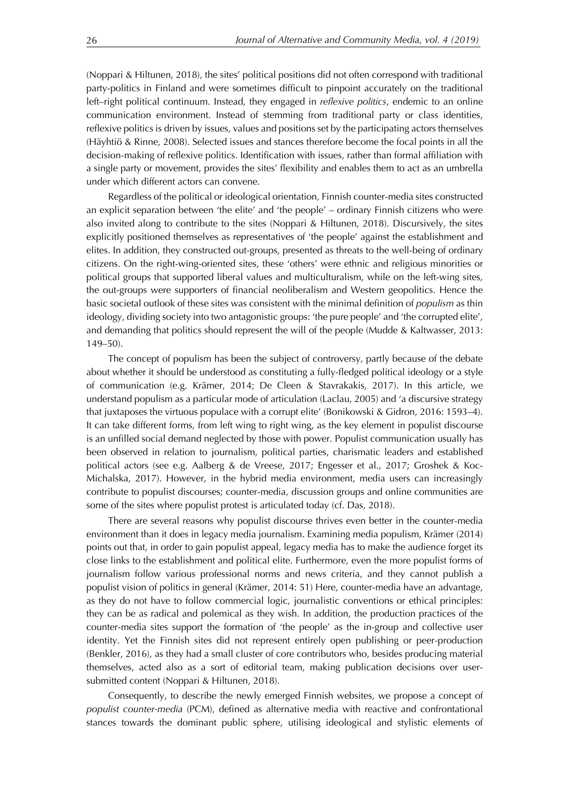(Noppari & Hiltunen, 2018), the sites' political positions did not often correspond with traditional party-politics in Finland and were sometimes difficult to pinpoint accurately on the traditional left–right political continuum. Instead, they engaged in *reflexive politics*, endemic to an online communication environment. Instead of stemming from traditional party or class identities, reflexive politics is driven by issues, values and positions set by the participating actors themselves (Häyhtiö & Rinne, 2008). Selected issues and stances therefore become the focal points in all the decision-making of reflexive politics. Identification with issues, rather than formal affiliation with a single party or movement, provides the sites' flexibility and enables them to act as an umbrella under which different actors can convene.

Regardless of the political or ideological orientation, Finnish counter-media sites constructed an explicit separation between 'the elite' and 'the people' – ordinary Finnish citizens who were also invited along to contribute to the sites (Noppari & Hiltunen, 2018). Discursively, the sites explicitly positioned themselves as representatives of 'the people' against the establishment and elites. In addition, they constructed out-groups, presented as threats to the well-being of ordinary citizens. On the right-wing-oriented sites, these 'others' were ethnic and religious minorities or political groups that supported liberal values and multiculturalism, while on the left-wing sites, the out-groups were supporters of financial neoliberalism and Western geopolitics. Hence the basic societal outlook of these sites was consistent with the minimal definition of *populism* as thin ideology, dividing society into two antagonistic groups: 'the pure people' and 'the corrupted elite', and demanding that politics should represent the will of the people (Mudde & Kaltwasser, 2013: 149–50).

The concept of populism has been the subject of controversy, partly because of the debate about whether it should be understood as constituting a fully-fledged political ideology or a style of communication (e.g. Krämer, 2014; De Cleen & Stavrakakis, 2017). In this article, we understand populism as a particular mode of articulation (Laclau, 2005) and 'a discursive strategy that juxtaposes the virtuous populace with a corrupt elite' (Bonikowski & Gidron, 2016: 1593–4). It can take different forms, from left wing to right wing, as the key element in populist discourse is an unfilled social demand neglected by those with power. Populist communication usually has been observed in relation to journalism, political parties, charismatic leaders and established political actors (see e.g. Aalberg & de Vreese, 2017; Engesser et al., 2017; Groshek & Koc-Michalska, 2017). However, in the hybrid media environment, media users can increasingly contribute to populist discourses; counter-media, discussion groups and online communities are some of the sites where populist protest is articulated today (cf. Das, 2018).

There are several reasons why populist discourse thrives even better in the counter-media environment than it does in legacy media journalism. Examining media populism, Krämer (2014) points out that, in order to gain populist appeal, legacy media has to make the audience forget its close links to the establishment and political elite. Furthermore, even the more populist forms of journalism follow various professional norms and news criteria, and they cannot publish a populist vision of politics in general (Krämer, 2014: 51) Here, counter-media have an advantage, as they do not have to follow commercial logic, journalistic conventions or ethical principles: they can be as radical and polemical as they wish. In addition, the production practices of the counter-media sites support the formation of 'the people' as the in-group and collective user identity. Yet the Finnish sites did not represent entirely open publishing or peer-production (Benkler, 2016), as they had a small cluster of core contributors who, besides producing material themselves, acted also as a sort of editorial team, making publication decisions over usersubmitted content (Noppari & Hiltunen, 2018).

Consequently, to describe the newly emerged Finnish websites, we propose a concept of *populist counter-media* (PCM), defined as alternative media with reactive and confrontational stances towards the dominant public sphere, utilising ideological and stylistic elements of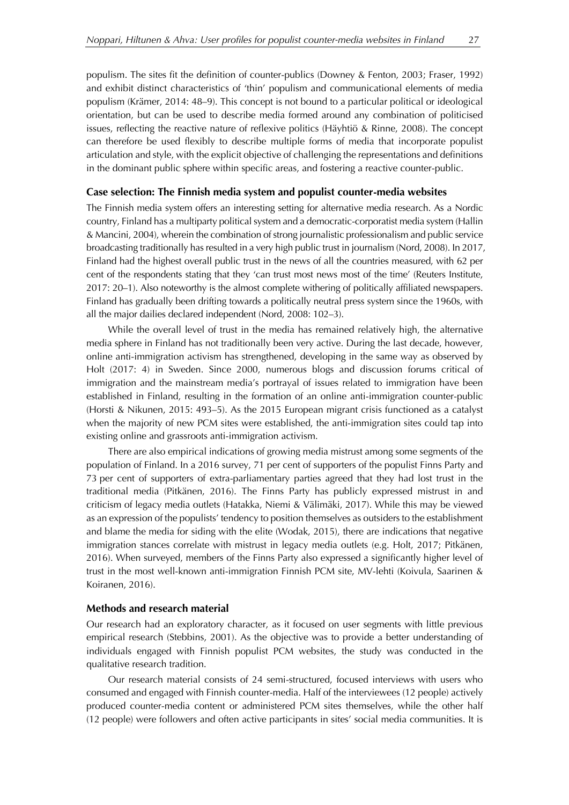populism. The sites fit the definition of counter-publics (Downey & Fenton, 2003; Fraser, 1992) and exhibit distinct characteristics of 'thin' populism and communicational elements of media populism (Krämer, 2014: 48–9). This concept is not bound to a particular political or ideological orientation, but can be used to describe media formed around any combination of politicised issues, reflecting the reactive nature of reflexive politics (Häyhtiö & Rinne, 2008). The concept can therefore be used flexibly to describe multiple forms of media that incorporate populist articulation and style, with the explicit objective of challenging the representations and definitions in the dominant public sphere within specific areas, and fostering a reactive counter-public.

## **Case selection: The Finnish media system and populist counter-media websites**

The Finnish media system offers an interesting setting for alternative media research. As a Nordic country, Finland has a multiparty political system and a democratic-corporatist media system (Hallin & Mancini, 2004), wherein the combination of strong journalistic professionalism and public service broadcasting traditionally has resulted in a very high public trust in journalism (Nord, 2008). In 2017, Finland had the highest overall public trust in the news of all the countries measured, with 62 per cent of the respondents stating that they 'can trust most news most of the time' (Reuters Institute, 2017: 20–1). Also noteworthy is the almost complete withering of politically affiliated newspapers. Finland has gradually been drifting towards a politically neutral press system since the 1960s, with all the major dailies declared independent (Nord, 2008: 102–3).

While the overall level of trust in the media has remained relatively high, the alternative media sphere in Finland has not traditionally been very active. During the last decade, however, online anti-immigration activism has strengthened, developing in the same way as observed by Holt (2017: 4) in Sweden. Since 2000, numerous blogs and discussion forums critical of immigration and the mainstream media's portrayal of issues related to immigration have been established in Finland, resulting in the formation of an online anti-immigration counter-public (Horsti & Nikunen, 2015: 493–5). As the 2015 European migrant crisis functioned as a catalyst when the majority of new PCM sites were established, the anti-immigration sites could tap into existing online and grassroots anti-immigration activism.

There are also empirical indications of growing media mistrust among some segments of the population of Finland. In a 2016 survey, 71 per cent of supporters of the populist Finns Party and 73 per cent of supporters of extra-parliamentary parties agreed that they had lost trust in the traditional media (Pitkänen, 2016). The Finns Party has publicly expressed mistrust in and criticism of legacy media outlets (Hatakka, Niemi & Välimäki, 2017). While this may be viewed as an expression of the populists' tendency to position themselves as outsiders to the establishment and blame the media for siding with the elite (Wodak, 2015), there are indications that negative immigration stances correlate with mistrust in legacy media outlets (e.g. Holt, 2017; Pitkänen, 2016). When surveyed, members of the Finns Party also expressed a significantly higher level of trust in the most well-known anti-immigration Finnish PCM site, MV-lehti (Koivula, Saarinen & Koiranen, 2016).

## **Methods and research material**

Our research had an exploratory character, as it focused on user segments with little previous empirical research (Stebbins, 2001). As the objective was to provide a better understanding of individuals engaged with Finnish populist PCM websites, the study was conducted in the qualitative research tradition.

Our research material consists of 24 semi-structured, focused interviews with users who consumed and engaged with Finnish counter-media. Half of the interviewees (12 people) actively produced counter-media content or administered PCM sites themselves, while the other half (12 people) were followers and often active participants in sites' social media communities. It is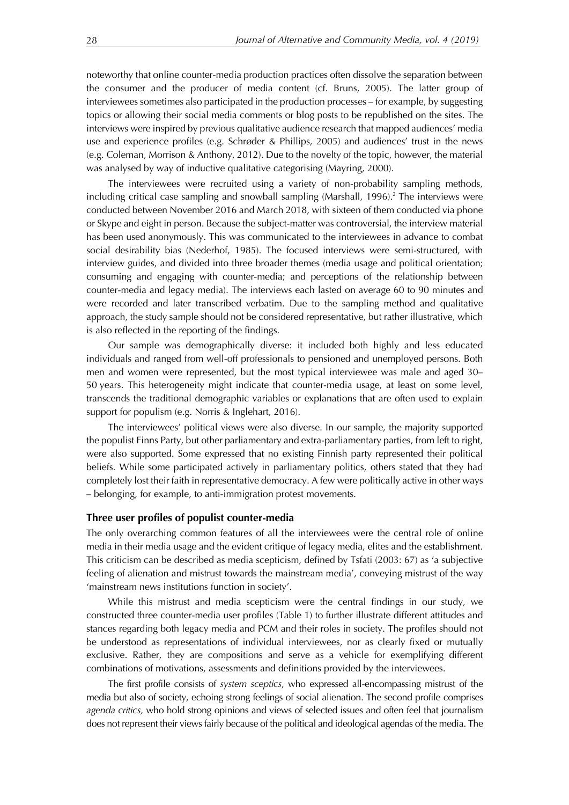noteworthy that online counter-media production practices often dissolve the separation between the consumer and the producer of media content (cf. Bruns, 2005). The latter group of interviewees sometimes also participated in the production processes – for example, by suggesting topics or allowing their social media comments or blog posts to be republished on the sites. The interviews were inspired by previous qualitative audience research that mapped audiences' media use and experience profiles (e.g. Schrøder & Phillips, 2005) and audiences' trust in the news (e.g. Coleman, Morrison & Anthony, 2012). Due to the novelty of the topic, however, the material was analysed by way of inductive qualitative categorising (Mayring, 2000).

The interviewees were recruited using a variety of non-probability sampling methods, including critical case sampling and snowball sampling (Marshall, 1996). <sup>2</sup> The interviews were conducted between November 2016 and March 2018, with sixteen of them conducted via phone or Skype and eight in person. Because the subject-matter was controversial, the interview material has been used anonymously. This was communicated to the interviewees in advance to combat social desirability bias (Nederhof, 1985). The focused interviews were semi-structured, with interview guides, and divided into three broader themes (media usage and political orientation; consuming and engaging with counter-media; and perceptions of the relationship between counter-media and legacy media). The interviews each lasted on average 60 to 90 minutes and were recorded and later transcribed verbatim. Due to the sampling method and qualitative approach, the study sample should not be considered representative, but rather illustrative, which is also reflected in the reporting of the findings.

Our sample was demographically diverse: it included both highly and less educated individuals and ranged from well-off professionals to pensioned and unemployed persons. Both men and women were represented, but the most typical interviewee was male and aged 30– 50 years. This heterogeneity might indicate that counter-media usage, at least on some level, transcends the traditional demographic variables or explanations that are often used to explain support for populism (e.g. Norris & Inglehart, 2016).

The interviewees' political views were also diverse. In our sample, the majority supported the populist Finns Party, but other parliamentary and extra-parliamentary parties, from left to right, were also supported. Some expressed that no existing Finnish party represented their political beliefs. While some participated actively in parliamentary politics, others stated that they had completely lost their faith in representative democracy. A few were politically active in other ways – belonging, for example, to anti-immigration protest movements.

#### **Three user profiles of populist counter-media**

The only overarching common features of all the interviewees were the central role of online media in their media usage and the evident critique of legacy media, elites and the establishment. This criticism can be described as media scepticism, defined by Tsfati (2003: 67) as 'a subjective feeling of alienation and mistrust towards the mainstream media', conveying mistrust of the way 'mainstream news institutions function in society'.

While this mistrust and media scepticism were the central findings in our study, we constructed three counter-media user profiles (Table 1) to further illustrate different attitudes and stances regarding both legacy media and PCM and their roles in society. The profiles should not be understood as representations of individual interviewees, nor as clearly fixed or mutually exclusive. Rather, they are compositions and serve as a vehicle for exemplifying different combinations of motivations, assessments and definitions provided by the interviewees.

The first profile consists of *system sceptics*, who expressed all-encompassing mistrust of the media but also of society, echoing strong feelings of social alienation. The second profile comprises *agenda critics,* who hold strong opinions and views of selected issues and often feel that journalism does not represent their views fairly because of the political and ideological agendas of the media. The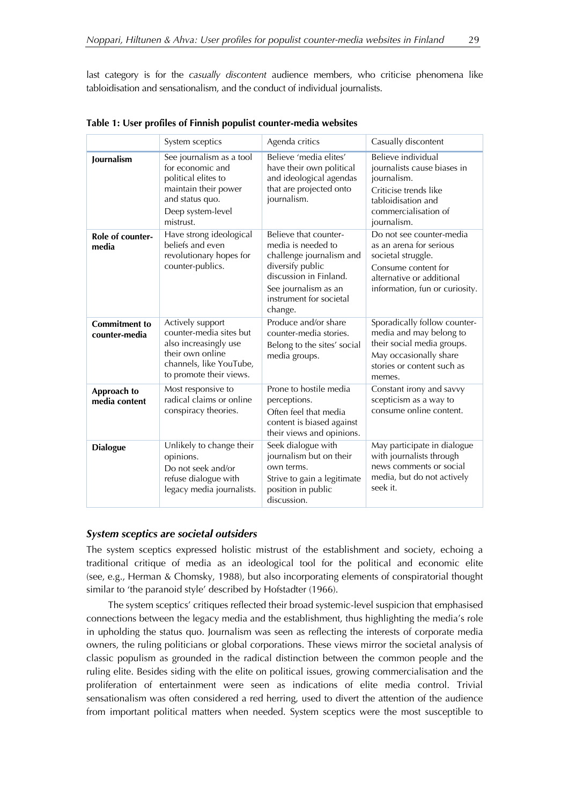last category is for the *casually discontent* audience members, who criticise phenomena like tabloidisation and sensationalism, and the conduct of individual journalists.

|                                       | System sceptics                                                                                                                                  | Agenda critics                                                                                                                                                                      | Casually discontent                                                                                                                                             |
|---------------------------------------|--------------------------------------------------------------------------------------------------------------------------------------------------|-------------------------------------------------------------------------------------------------------------------------------------------------------------------------------------|-----------------------------------------------------------------------------------------------------------------------------------------------------------------|
| Journalism                            | See journalism as a tool<br>for economic and<br>political elites to<br>maintain their power<br>and status quo.<br>Deep system-level<br>mistrust. | Believe 'media elites'<br>have their own political<br>and ideological agendas<br>that are projected onto<br>journalism.                                                             | Believe individual<br>journalists cause biases in<br>journalism.<br>Criticise trends like<br>tabloidisation and<br>commercialisation of<br>journalism.          |
| Role of counter-<br>media             | Have strong ideological<br>beliefs and even<br>revolutionary hopes for<br>counter-publics.                                                       | Believe that counter-<br>media is needed to<br>challenge journalism and<br>diversify public<br>discussion in Finland.<br>See journalism as an<br>instrument for societal<br>change. | Do not see counter-media<br>as an arena for serious<br>societal struggle.<br>Consume content for<br>alternative or additional<br>information, fun or curiosity. |
| <b>Commitment to</b><br>counter-media | Actively support<br>counter-media sites but<br>also increasingly use<br>their own online<br>channels, like YouTube,<br>to promote their views.   | Produce and/or share<br>counter-media stories.<br>Belong to the sites' social<br>media groups.                                                                                      | Sporadically follow counter-<br>media and may belong to<br>their social media groups.<br>May occasionally share<br>stories or content such as<br>memes.         |
| Approach to<br>media content          | Most responsive to<br>radical claims or online<br>conspiracy theories.                                                                           | Prone to hostile media<br>perceptions.<br>Often feel that media<br>content is biased against<br>their views and opinions.                                                           | Constant irony and savvy<br>scepticism as a way to<br>consume online content.                                                                                   |
| <b>Dialogue</b>                       | Unlikely to change their<br>opinions.<br>Do not seek and/or<br>refuse dialogue with<br>legacy media journalists.                                 | Seek dialogue with<br>journalism but on their<br>own terms.<br>Strive to gain a legitimate<br>position in public<br>discussion.                                                     | May participate in dialogue<br>with journalists through<br>news comments or social<br>media, but do not actively<br>seek it.                                    |

**Table 1: User profiles of Finnish populist counter-media websites**

### *System sceptics are societal outsiders*

The system sceptics expressed holistic mistrust of the establishment and society, echoing a traditional critique of media as an ideological tool for the political and economic elite (see, e.g., Herman & Chomsky, 1988), but also incorporating elements of conspiratorial thought similar to 'the paranoid style' described by Hofstadter (1966).

The system sceptics' critiques reflected their broad systemic-level suspicion that emphasised connections between the legacy media and the establishment, thus highlighting the media's role in upholding the status quo. Journalism was seen as reflecting the interests of corporate media owners, the ruling politicians or global corporations. These views mirror the societal analysis of classic populism as grounded in the radical distinction between the common people and the ruling elite. Besides siding with the elite on political issues, growing commercialisation and the proliferation of entertainment were seen as indications of elite media control. Trivial sensationalism was often considered a red herring, used to divert the attention of the audience from important political matters when needed. System sceptics were the most susceptible to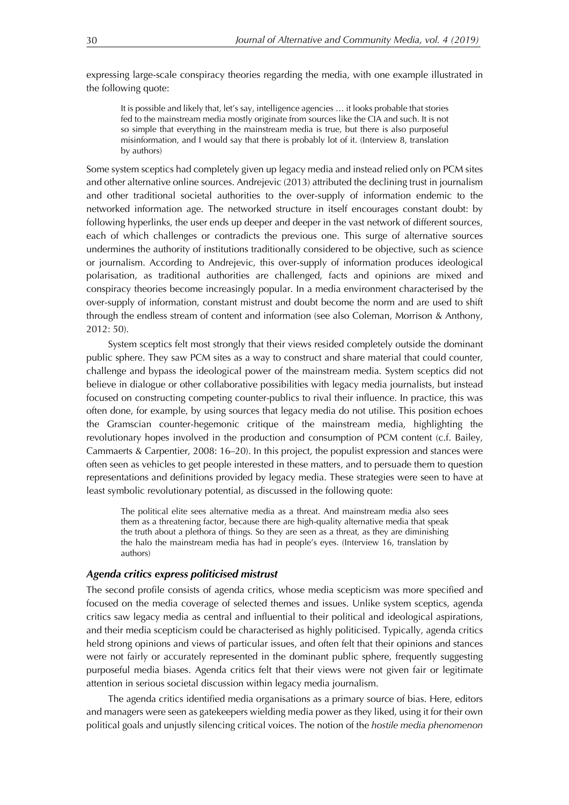expressing large-scale conspiracy theories regarding the media, with one example illustrated in the following quote:

It is possible and likely that, let's say, intelligence agencies … it looks probable that stories fed to the mainstream media mostly originate from sources like the CIA and such. It is not so simple that everything in the mainstream media is true, but there is also purposeful misinformation, and I would say that there is probably lot of it. (Interview 8, translation by authors)

Some system sceptics had completely given up legacy media and instead relied only on PCM sites and other alternative online sources. Andrejevic (2013) attributed the declining trust in journalism and other traditional societal authorities to the over-supply of information endemic to the networked information age. The networked structure in itself encourages constant doubt: by following hyperlinks, the user ends up deeper and deeper in the vast network of different sources, each of which challenges or contradicts the previous one. This surge of alternative sources undermines the authority of institutions traditionally considered to be objective, such as science or journalism. According to Andrejevic, this over-supply of information produces ideological polarisation, as traditional authorities are challenged, facts and opinions are mixed and conspiracy theories become increasingly popular. In a media environment characterised by the over-supply of information, constant mistrust and doubt become the norm and are used to shift through the endless stream of content and information (see also Coleman, Morrison & Anthony, 2012: 50).

System sceptics felt most strongly that their views resided completely outside the dominant public sphere. They saw PCM sites as a way to construct and share material that could counter, challenge and bypass the ideological power of the mainstream media. System sceptics did not believe in dialogue or other collaborative possibilities with legacy media journalists, but instead focused on constructing competing counter-publics to rival their influence. In practice, this was often done, for example, by using sources that legacy media do not utilise. This position echoes the Gramscian counter-hegemonic critique of the mainstream media, highlighting the revolutionary hopes involved in the production and consumption of PCM content (c.f. Bailey, Cammaerts & Carpentier, 2008: 16–20). In this project, the populist expression and stances were often seen as vehicles to get people interested in these matters, and to persuade them to question representations and definitions provided by legacy media. These strategies were seen to have at least symbolic revolutionary potential, as discussed in the following quote:

The political elite sees alternative media as a threat. And mainstream media also sees them as a threatening factor, because there are high-quality alternative media that speak the truth about a plethora of things. So they are seen as a threat, as they are diminishing the halo the mainstream media has had in people's eyes. (Interview 16, translation by authors)

### *Agenda critics express politicised mistrust*

The second profile consists of agenda critics, whose media scepticism was more specified and focused on the media coverage of selected themes and issues. Unlike system sceptics, agenda critics saw legacy media as central and influential to their political and ideological aspirations, and their media scepticism could be characterised as highly politicised. Typically, agenda critics held strong opinions and views of particular issues, and often felt that their opinions and stances were not fairly or accurately represented in the dominant public sphere, frequently suggesting purposeful media biases. Agenda critics felt that their views were not given fair or legitimate attention in serious societal discussion within legacy media journalism.

The agenda critics identified media organisations as a primary source of bias. Here, editors and managers were seen as gatekeepers wielding media power as they liked, using it for their own political goals and unjustly silencing critical voices. The notion of the *hostile media phenomenon*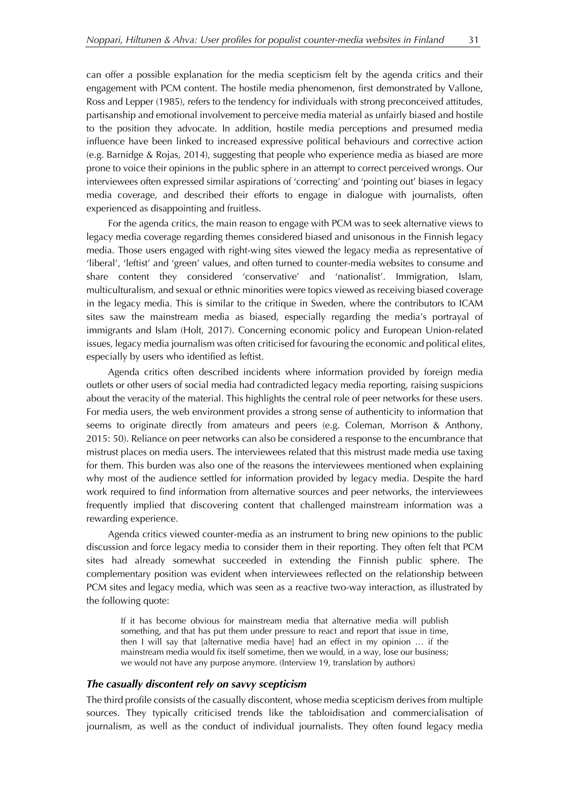can offer a possible explanation for the media scepticism felt by the agenda critics and their engagement with PCM content. The hostile media phenomenon, first demonstrated by Vallone, Ross and Lepper (1985), refers to the tendency for individuals with strong preconceived attitudes, partisanship and emotional involvement to perceive media material as unfairly biased and hostile to the position they advocate. In addition, hostile media perceptions and presumed media influence have been linked to increased expressive political behaviours and corrective action (e.g. Barnidge & Rojas, 2014), suggesting that people who experience media as biased are more prone to voice their opinions in the public sphere in an attempt to correct perceived wrongs. Our interviewees often expressed similar aspirations of 'correcting' and 'pointing out' biases in legacy media coverage, and described their efforts to engage in dialogue with journalists, often experienced as disappointing and fruitless.

For the agenda critics, the main reason to engage with PCM was to seek alternative views to legacy media coverage regarding themes considered biased and unisonous in the Finnish legacy media. Those users engaged with right-wing sites viewed the legacy media as representative of 'liberal', 'leftist' and 'green' values, and often turned to counter-media websites to consume and share content they considered 'conservative' and 'nationalist'. Immigration, Islam, multiculturalism, and sexual or ethnic minorities were topics viewed as receiving biased coverage in the legacy media. This is similar to the critique in Sweden, where the contributors to ICAM sites saw the mainstream media as biased, especially regarding the media's portrayal of immigrants and Islam (Holt, 2017). Concerning economic policy and European Union-related issues, legacy media journalism was often criticised for favouring the economic and political elites, especially by users who identified as leftist.

Agenda critics often described incidents where information provided by foreign media outlets or other users of social media had contradicted legacy media reporting, raising suspicions about the veracity of the material. This highlights the central role of peer networks for these users. For media users, the web environment provides a strong sense of authenticity to information that seems to originate directly from amateurs and peers (e.g. Coleman, Morrison & Anthony, 2015: 50). Reliance on peer networks can also be considered a response to the encumbrance that mistrust places on media users. The interviewees related that this mistrust made media use taxing for them. This burden was also one of the reasons the interviewees mentioned when explaining why most of the audience settled for information provided by legacy media. Despite the hard work required to find information from alternative sources and peer networks, the interviewees frequently implied that discovering content that challenged mainstream information was a rewarding experience.

Agenda critics viewed counter-media as an instrument to bring new opinions to the public discussion and force legacy media to consider them in their reporting. They often felt that PCM sites had already somewhat succeeded in extending the Finnish public sphere. The complementary position was evident when interviewees reflected on the relationship between PCM sites and legacy media, which was seen as a reactive two-way interaction, as illustrated by the following quote:

If it has become obvious for mainstream media that alternative media will publish something, and that has put them under pressure to react and report that issue in time, then I will say that [alternative media have] had an effect in my opinion … if the mainstream media would fix itself sometime, then we would, in a way, lose our business; we would not have any purpose anymore. (Interview 19, translation by authors)

# *The casually discontent rely on savvy scepticism*

The third profile consists of the casually discontent, whose media scepticism derives from multiple sources. They typically criticised trends like the tabloidisation and commercialisation of journalism, as well as the conduct of individual journalists. They often found legacy media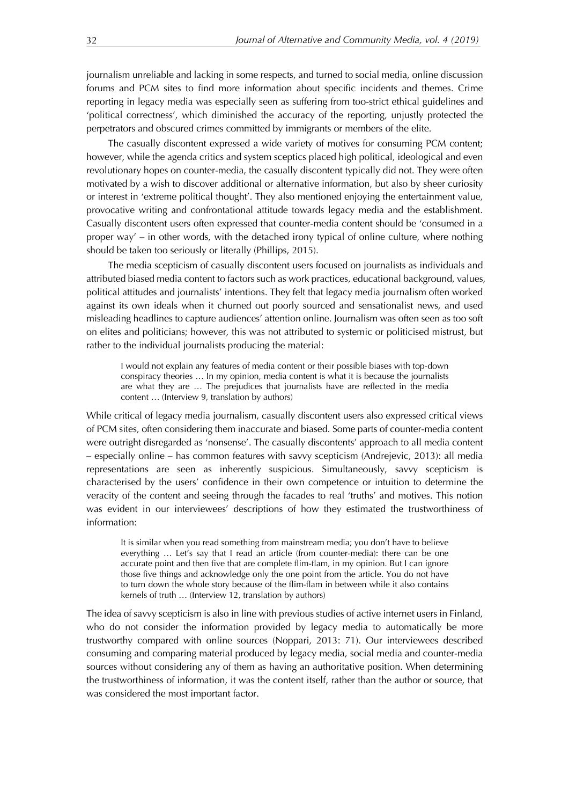journalism unreliable and lacking in some respects, and turned to social media, online discussion forums and PCM sites to find more information about specific incidents and themes. Crime reporting in legacy media was especially seen as suffering from too-strict ethical guidelines and 'political correctness', which diminished the accuracy of the reporting, unjustly protected the perpetrators and obscured crimes committed by immigrants or members of the elite.

The casually discontent expressed a wide variety of motives for consuming PCM content; however, while the agenda critics and system sceptics placed high political, ideological and even revolutionary hopes on counter-media, the casually discontent typically did not. They were often motivated by a wish to discover additional or alternative information, but also by sheer curiosity or interest in 'extreme political thought'. They also mentioned enjoying the entertainment value, provocative writing and confrontational attitude towards legacy media and the establishment. Casually discontent users often expressed that counter-media content should be 'consumed in a proper way' – in other words, with the detached irony typical of online culture, where nothing should be taken too seriously or literally (Phillips, 2015).

The media scepticism of casually discontent users focused on journalists as individuals and attributed biased media content to factors such as work practices, educational background, values, political attitudes and journalists' intentions. They felt that legacy media journalism often worked against its own ideals when it churned out poorly sourced and sensationalist news, and used misleading headlines to capture audiences' attention online. Journalism was often seen as too soft on elites and politicians; however, this was not attributed to systemic or politicised mistrust, but rather to the individual journalists producing the material:

I would not explain any features of media content or their possible biases with top-down conspiracy theories … In my opinion, media content is what it is because the journalists are what they are ... The prejudices that journalists have are reflected in the media content … (Interview 9, translation by authors)

While critical of legacy media journalism, casually discontent users also expressed critical views of PCM sites, often considering them inaccurate and biased. Some parts of counter-media content were outright disregarded as 'nonsense'. The casually discontents' approach to all media content – especially online – has common features with savvy scepticism (Andrejevic, 2013): all media representations are seen as inherently suspicious. Simultaneously, savvy scepticism is characterised by the users' confidence in their own competence or intuition to determine the veracity of the content and seeing through the facades to real 'truths' and motives. This notion was evident in our interviewees' descriptions of how they estimated the trustworthiness of information:

It is similar when you read something from mainstream media; you don't have to believe everything … Let's say that I read an article (from counter-media): there can be one accurate point and then five that are complete flim-flam, in my opinion. But I can ignore those five things and acknowledge only the one point from the article. You do not have to turn down the whole story because of the flim-flam in between while it also contains kernels of truth … (Interview 12, translation by authors)

The idea of savvy scepticism is also in line with previous studies of active internet users in Finland, who do not consider the information provided by legacy media to automatically be more trustworthy compared with online sources (Noppari, 2013: 71). Our interviewees described consuming and comparing material produced by legacy media, social media and counter-media sources without considering any of them as having an authoritative position. When determining the trustworthiness of information, it was the content itself, rather than the author or source, that was considered the most important factor.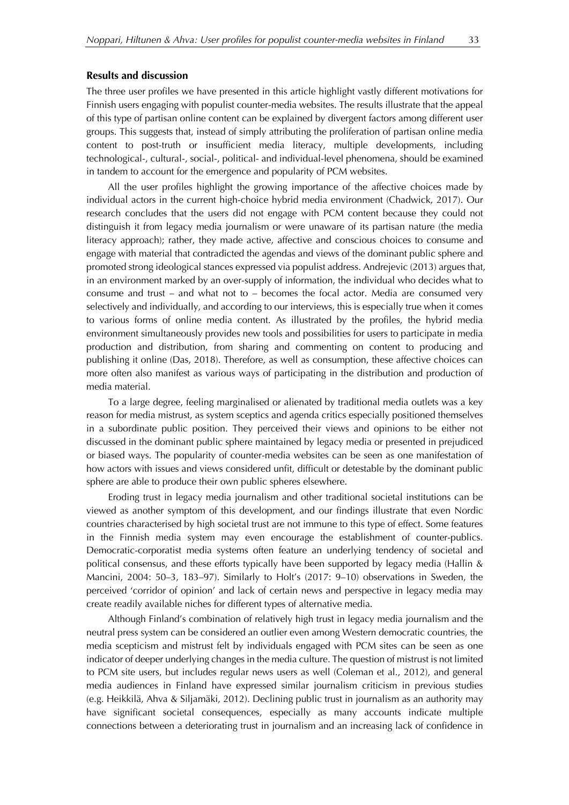#### **Results and discussion**

The three user profiles we have presented in this article highlight vastly different motivations for Finnish users engaging with populist counter-media websites. The results illustrate that the appeal of this type of partisan online content can be explained by divergent factors among different user groups. This suggests that, instead of simply attributing the proliferation of partisan online media content to post-truth or insufficient media literacy, multiple developments, including technological-, cultural-, social-, political- and individual-level phenomena, should be examined in tandem to account for the emergence and popularity of PCM websites.

All the user profiles highlight the growing importance of the affective choices made by individual actors in the current high-choice hybrid media environment (Chadwick, 2017). Our research concludes that the users did not engage with PCM content because they could not distinguish it from legacy media journalism or were unaware of its partisan nature (the media literacy approach); rather, they made active, affective and conscious choices to consume and engage with material that contradicted the agendas and views of the dominant public sphere and promoted strong ideological stances expressed via populist address. Andrejevic (2013) argues that, in an environment marked by an over-supply of information, the individual who decides what to consume and trust – and what not to – becomes the focal actor. Media are consumed very selectively and individually, and according to our interviews, this is especially true when it comes to various forms of online media content. As illustrated by the profiles, the hybrid media environment simultaneously provides new tools and possibilities for users to participate in media production and distribution, from sharing and commenting on content to producing and publishing it online (Das, 2018). Therefore, as well as consumption, these affective choices can more often also manifest as various ways of participating in the distribution and production of media material.

To a large degree, feeling marginalised or alienated by traditional media outlets was a key reason for media mistrust, as system sceptics and agenda critics especially positioned themselves in a subordinate public position. They perceived their views and opinions to be either not discussed in the dominant public sphere maintained by legacy media or presented in prejudiced or biased ways. The popularity of counter-media websites can be seen as one manifestation of how actors with issues and views considered unfit, difficult or detestable by the dominant public sphere are able to produce their own public spheres elsewhere.

Eroding trust in legacy media journalism and other traditional societal institutions can be viewed as another symptom of this development, and our findings illustrate that even Nordic countries characterised by high societal trust are not immune to this type of effect. Some features in the Finnish media system may even encourage the establishment of counter-publics. Democratic-corporatist media systems often feature an underlying tendency of societal and political consensus, and these efforts typically have been supported by legacy media (Hallin & Mancini, 2004: 50–3, 183–97). Similarly to Holt's (2017: 9–10) observations in Sweden, the perceived 'corridor of opinion' and lack of certain news and perspective in legacy media may create readily available niches for different types of alternative media.

Although Finland's combination of relatively high trust in legacy media journalism and the neutral press system can be considered an outlier even among Western democratic countries, the media scepticism and mistrust felt by individuals engaged with PCM sites can be seen as one indicator of deeper underlying changes in the media culture. The question of mistrust is not limited to PCM site users, but includes regular news users as well (Coleman et al., 2012), and general media audiences in Finland have expressed similar journalism criticism in previous studies (e.g. Heikkilä, Ahva & Siljamäki, 2012). Declining public trust in journalism as an authority may have significant societal consequences, especially as many accounts indicate multiple connections between a deteriorating trust in journalism and an increasing lack of confidence in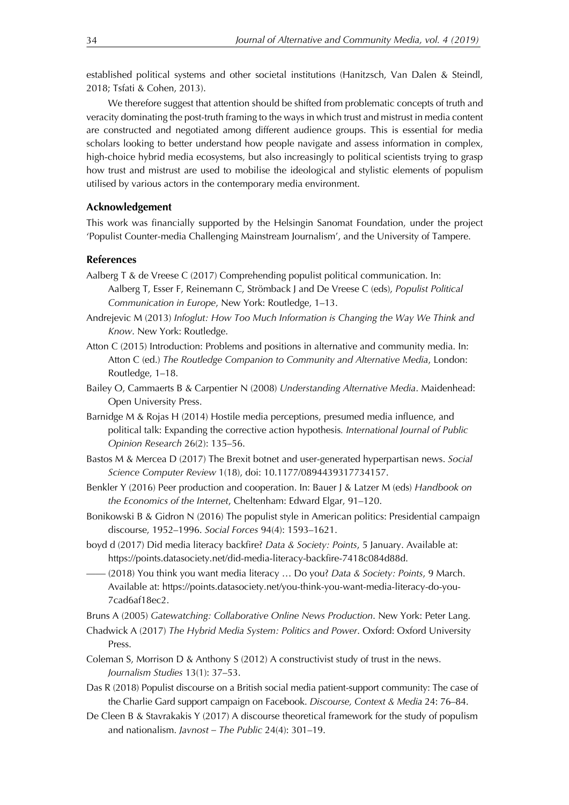established political systems and other societal institutions (Hanitzsch, Van Dalen & Steindl, 2018; Tsfati & Cohen, 2013).

We therefore suggest that attention should be shifted from problematic concepts of truth and veracity dominating the post-truth framing to the ways in which trust and mistrust in media content are constructed and negotiated among different audience groups. This is essential for media scholars looking to better understand how people navigate and assess information in complex, high-choice hybrid media ecosystems, but also increasingly to political scientists trying to grasp how trust and mistrust are used to mobilise the ideological and stylistic elements of populism utilised by various actors in the contemporary media environment.

## **Acknowledgement**

This work was financially supported by the Helsingin Sanomat Foundation, under the project 'Populist Counter-media Challenging Mainstream Journalism', and the University of Tampere.

## **References**

- Aalberg T & de Vreese C (2017) Comprehending populist political communication. In: Aalberg T, Esser F, Reinemann C, Strömback J and De Vreese C (eds), *Populist Political Communication in Europe*, New York: Routledge, 1–13.
- Andrejevic M (2013) *Infoglut: How Too Much Information is Changing the Way We Think and Know*. New York: Routledge.
- Atton C (2015) Introduction: Problems and positions in alternative and community media. In: Atton C (ed.) *The Routledge Companion to Community and Alternative Media*, London: Routledge, 1–18.
- Bailey O, Cammaerts B & Carpentier N (2008) *Understanding Alternative Media*. Maidenhead: Open University Press.
- Barnidge M & Rojas H (2014) Hostile media perceptions, presumed media influence, and political talk: Expanding the corrective action hypothesis*. International Journal of Public Opinion Research* 26(2): 135–56.
- Bastos M & Mercea D (2017) The Brexit botnet and user-generated hyperpartisan news. *Social Science Computer Review* 1(18), doi: 10.1177/0894439317734157.
- Benkler Y (2016) Peer production and cooperation. In: Bauer J & Latzer M (eds) *Handbook on the Economics of the Internet*, Cheltenham: Edward Elgar, 91–120.
- Bonikowski B & Gidron N (2016) The populist style in American politics: Presidential campaign discourse, 1952–1996. *Social Forces* 94(4): 1593–1621.
- boyd d (2017) Did media literacy backfire? *Data & Society: Points*, 5 January. Available at: https://points.datasociety.net/did-media-literacy-backfire-7418c084d88d.
- —— (2018) You think you want media literacy … Do you? *Data & Society: Points*, 9 March. Available at: https://points.datasociety.net/you-think-you-want-media-literacy-do-you-7cad6af18ec2.

Bruns A (2005) *Gatewatching: Collaborative Online News Production*. New York: Peter Lang.

- Chadwick A (2017) *The Hybrid Media System: Politics and Power*. Oxford: Oxford University Press.
- Coleman S, Morrison D & Anthony S (2012) A constructivist study of trust in the news. *Journalism Studies* 13(1): 37–53.
- Das R (2018) Populist discourse on a British social media patient-support community: The case of the Charlie Gard support campaign on Facebook. *Discourse, Context & Media* 24: 76–84.
- De Cleen B & Stavrakakis Y (2017) A discourse theoretical framework for the study of populism and nationalism. *Javnost – The Public* 24(4): 301–19.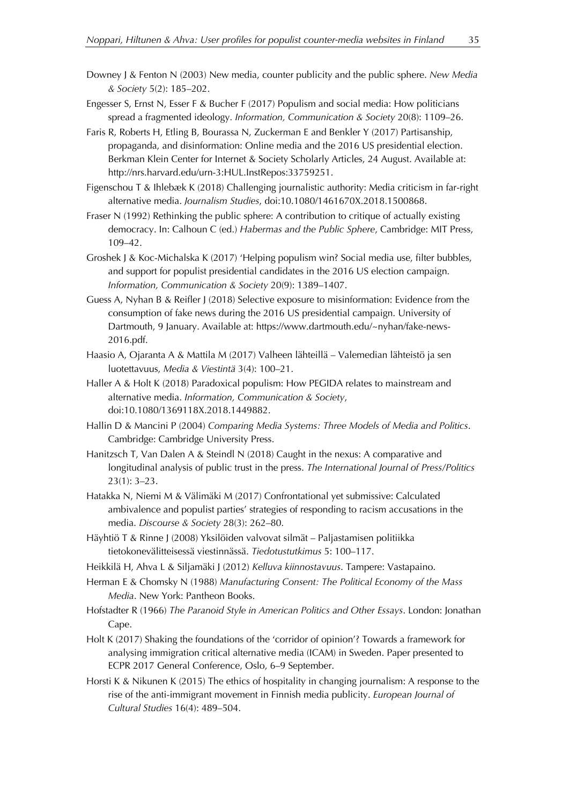- Downey J & Fenton N (2003) New media, counter publicity and the public sphere. *New Media & Society* 5(2): 185–202.
- Engesser S, Ernst N, Esser F & Bucher F (2017) Populism and social media: How politicians spread a fragmented ideology. *Information, Communication & Society* 20(8): 1109–26.
- Faris R, Roberts H, Etling B, Bourassa N, Zuckerman E and Benkler Y (2017) Partisanship, propaganda, and disinformation: Online media and the 2016 US presidential election. Berkman Klein Center for Internet & Society Scholarly Articles, 24 August. Available at: http://nrs.harvard.edu/urn-3:HUL.InstRepos:33759251.
- Figenschou T & Ihlebæk K (2018) Challenging journalistic authority: Media criticism in far-right alternative media. *Journalism Studies*, doi:10.1080/1461670X.2018.1500868.
- Fraser N (1992) Rethinking the public sphere: A contribution to critique of actually existing democracy. In: Calhoun C (ed.) *Habermas and the Public Sphere*, Cambridge: MIT Press, 109–42.
- Groshek J & Koc-Michalska K (2017) 'Helping populism win? Social media use, filter bubbles, and support for populist presidential candidates in the 2016 US election campaign. *Information, Communication & Society* 20(9): 1389–1407.
- Guess A, Nyhan B & Reifler J (2018) Selective exposure to misinformation: Evidence from the consumption of fake news during the 2016 US presidential campaign. University of Dartmouth, 9 January. Available at: https://www.dartmouth.edu/~nyhan/fake-news-2016.pdf.
- Haasio A, Ojaranta A & Mattila M (2017) Valheen lähteillä Valemedian lähteistö ja sen luotettavuus, *Media & Viestintä* 3(4): 100–21.
- Haller A & Holt K (2018) Paradoxical populism: How PEGIDA relates to mainstream and alternative media. *Information, Communication & Society*, doi:10.1080/1369118X.2018.1449882.
- Hallin D & Mancini P (2004) *Comparing Media Systems: Three Models of Media and Politics*. Cambridge: Cambridge University Press.
- Hanitzsch T, Van Dalen A & Steindl N (2018) Caught in the nexus: A comparative and longitudinal analysis of public trust in the press. *The International Journal of Press/Politics* 23(1): 3–23.
- Hatakka N, Niemi M & Välimäki M (2017) Confrontational yet submissive: Calculated ambivalence and populist parties' strategies of responding to racism accusations in the media. *Discourse & Society* 28(3): 262–80.
- Häyhtiö T & Rinne J (2008) Yksilöiden valvovat silmät Paljastamisen politiikka tietokonevälitteisessä viestinnässä. *Tiedotustutkimus* 5: 100–117.
- Heikkilä H, Ahva L & Siljamäki J (2012) *Kelluva kiinnostavuus*. Tampere: Vastapaino.
- Herman E & Chomsky N (1988) *Manufacturing Consent: The Political Economy of the Mass Media*. New York: Pantheon Books.
- Hofstadter R (1966) *The Paranoid Style in American Politics and Other Essays*. London: Jonathan Cape.
- Holt K (2017) Shaking the foundations of the 'corridor of opinion'? Towards a framework for analysing immigration critical alternative media (ICAM) in Sweden. Paper presented to ECPR 2017 General Conference, Oslo, 6–9 September.
- Horsti K & Nikunen K (2015) The ethics of hospitality in changing journalism: A response to the rise of the anti-immigrant movement in Finnish media publicity. *European Journal of Cultural Studies* 16(4): 489–504.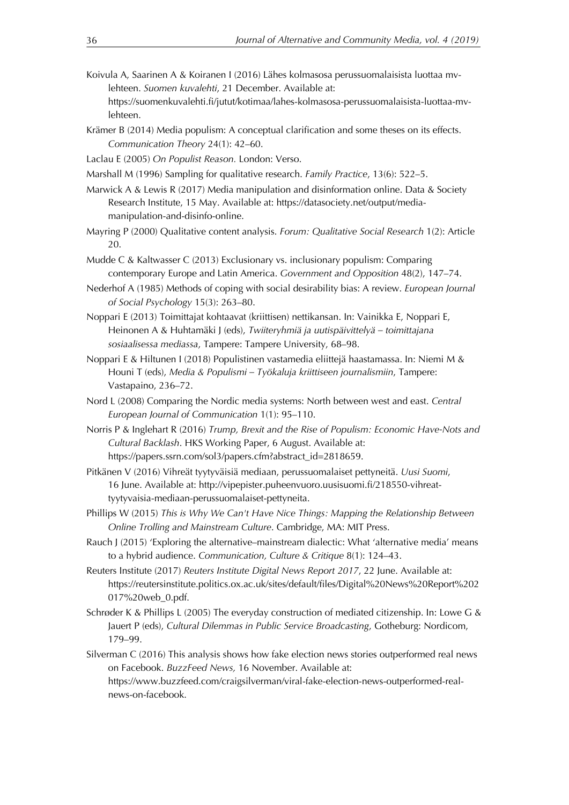- Koivula A, Saarinen A & Koiranen I (2016) Lähes kolmasosa perussuomalaisista luottaa mvlehteen. *Suomen kuvalehti*, 21 December. Available at: https://suomenkuvalehti.fi/jutut/kotimaa/lahes-kolmasosa-perussuomalaisista-luottaa-mvlehteen.
- Krämer B (2014) Media populism: A conceptual clarification and some theses on its effects. *Communication Theory* 24(1): 42–60.
- Laclau E (2005) *On Populist Reason.* London: Verso.
- Marshall M (1996) Sampling for qualitative research. *Family Practice*, 13(6): 522–5.
- Marwick A & Lewis R (2017) Media manipulation and disinformation online. Data & Society Research Institute, 15 May. Available at: https://datasociety.net/output/mediamanipulation-and-disinfo-online.
- Mayring P (2000) Qualitative content analysis. *Forum: Qualitative Social Research* 1(2): Article 20.
- Mudde C & Kaltwasser C (2013) Exclusionary vs. inclusionary populism: Comparing contemporary Europe and Latin America. *Government and Opposition* 48(2), 147–74.
- Nederhof A (1985) Methods of coping with social desirability bias: A review. *European Journal of Social Psychology* 15(3): 263–80.
- Noppari E (2013) Toimittajat kohtaavat (kriittisen) nettikansan. In: Vainikka E, Noppari E, Heinonen A & Huhtamäki J (eds), *Twiiteryhmiä ja uutispäivittelyä – toimittajana sosiaalisessa mediassa*, Tampere: Tampere University, 68–98.
- Noppari E & Hiltunen I (2018) Populistinen vastamedia eliittejä haastamassa. In: Niemi M & Houni T (eds), *Media & Populismi – Työkaluja kriittiseen journalismiin*, Tampere: Vastapaino, 236–72.
- Nord L (2008) Comparing the Nordic media systems: North between west and east. *Central European Journal of Communication* 1(1): 95–110.
- Norris P & Inglehart R (2016) *Trump, Brexit and the Rise of Populism: Economic Have-Nots and Cultural Backlash*. HKS Working Paper, 6 August. Available at: https://papers.ssrn.com/sol3/papers.cfm?abstract\_id=2818659.
- Pitkänen V (2016) Vihreät tyytyväisiä mediaan, perussuomalaiset pettyneitä. *Uusi Suomi*, 16 June. Available at: http://vipepister.puheenvuoro.uusisuomi.fi/218550-vihreattyytyvaisia-mediaan-perussuomalaiset-pettyneita.
- Phillips W (2015) *This is Why We Can't Have Nice Things: Mapping the Relationship Between Online Trolling and Mainstream Culture*. Cambridge, MA: MIT Press.
- Rauch J (2015) 'Exploring the alternative–mainstream dialectic: What 'alternative media' means to a hybrid audience. *Communication, Culture & Critique* 8(1): 124–43.
- Reuters Institute (2017) *Reuters Institute Digital News Report 2017*, 22 June. Available at: https://reutersinstitute.politics.ox.ac.uk/sites/default/files/Digital%20News%20Report%202 017%20web\_0.pdf.
- Schrøder K & Phillips L (2005) The everyday construction of mediated citizenship. In: Lowe G & Jauert P (eds), *Cultural Dilemmas in Public Service Broadcasting*, Gotheburg: Nordicom, 179–99.
- Silverman C (2016) This analysis shows how fake election news stories outperformed real news on Facebook. *BuzzFeed News,* 16 November. Available at: https://www.buzzfeed.com/craigsilverman/viral-fake-election-news-outperformed-realnews-on-facebook.